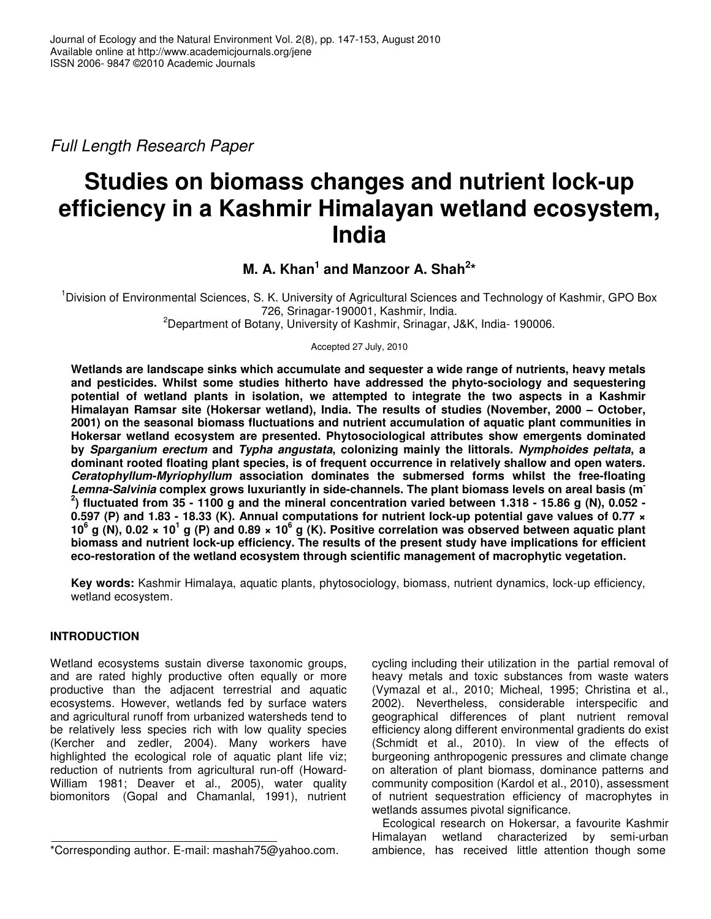Full Length Research Paper

# **Studies on biomass changes and nutrient lock-up efficiency in a Kashmir Himalayan wetland ecosystem, India**

**M. A. Khan<sup>1</sup> and Manzoor A. Shah<sup>2\*</sup>** 

<sup>1</sup>Division of Environmental Sciences, S. K. University of Agricultural Sciences and Technology of Kashmir, GPO Box 726, Srinagar-190001, Kashmir, India. <sup>2</sup>Department of Botany, University of Kashmir, Srinagar, J&K, India-190006.

Accepted 27 July, 2010

**Wetlands are landscape sinks which accumulate and sequester a wide range of nutrients, heavy metals and pesticides. Whilst some studies hitherto have addressed the phyto-sociology and sequestering potential of wetland plants in isolation, we attempted to integrate the two aspects in a Kashmir Himalayan Ramsar site (Hokersar wetland), India. The results of studies (November, 2000 – October, 2001) on the seasonal biomass fluctuations and nutrient accumulation of aquatic plant communities in Hokersar wetland ecosystem are presented. Phytosociological attributes show emergents dominated by Sparganium erectum and Typha angustata, colonizing mainly the littorals. Nymphoides peltata, a dominant rooted floating plant species, is of frequent occurrence in relatively shallow and open waters. Ceratophyllum-Myriophyllum association dominates the submersed forms whilst the free-floating Lemna-Salvinia complex grows luxuriantly in side-channels. The plant biomass levels on areal basis (m-2 ) fluctuated from 35 - 1100 g and the mineral concentration varied between 1.318 - 15.86 g (N), 0.052 - 0.597 (P) and 1.83 - 18.33 (K). Annual computations for nutrient lock-up potential gave values of 0.77 × 10<sup>6</sup> g (N), 0.02 × 10<sup>1</sup> g (P) and 0.89 × 10<sup>6</sup> g (K). Positive correlation was observed between aquatic plant biomass and nutrient lock-up efficiency. The results of the present study have implications for efficient eco-restoration of the wetland ecosystem through scientific management of macrophytic vegetation.** 

**Key words:** Kashmir Himalaya, aquatic plants, phytosociology, biomass, nutrient dynamics, lock-up efficiency, wetland ecosystem.

## **INTRODUCTION**

Wetland ecosystems sustain diverse taxonomic groups, and are rated highly productive often equally or more productive than the adjacent terrestrial and aquatic ecosystems. However, wetlands fed by surface waters and agricultural runoff from urbanized watersheds tend to be relatively less species rich with low quality species (Kercher and zedler, 2004). Many workers have highlighted the ecological role of aquatic plant life viz; reduction of nutrients from agricultural run-off (Howard-William 1981; Deaver et al., 2005), water quality biomonitors (Gopal and Chamanlal, 1991), nutrient

cycling including their utilization in the partial removal of heavy metals and toxic substances from waste waters (Vymazal et al., 2010; Micheal, 1995; Christina et al., 2002). Nevertheless, considerable interspecific and geographical differences of plant nutrient removal efficiency along different environmental gradients do exist (Schmidt et al., 2010). In view of the effects of burgeoning anthropogenic pressures and climate change on alteration of plant biomass, dominance patterns and community composition (Kardol et al., 2010), assessment of nutrient sequestration efficiency of macrophytes in wetlands assumes pivotal significance.

Ecological research on Hokersar, a favourite Kashmir Himalayan wetland characterized by semi-urban ambience, has received little attention though some

<sup>\*</sup>Corresponding author. E-mail: mashah75@yahoo.com.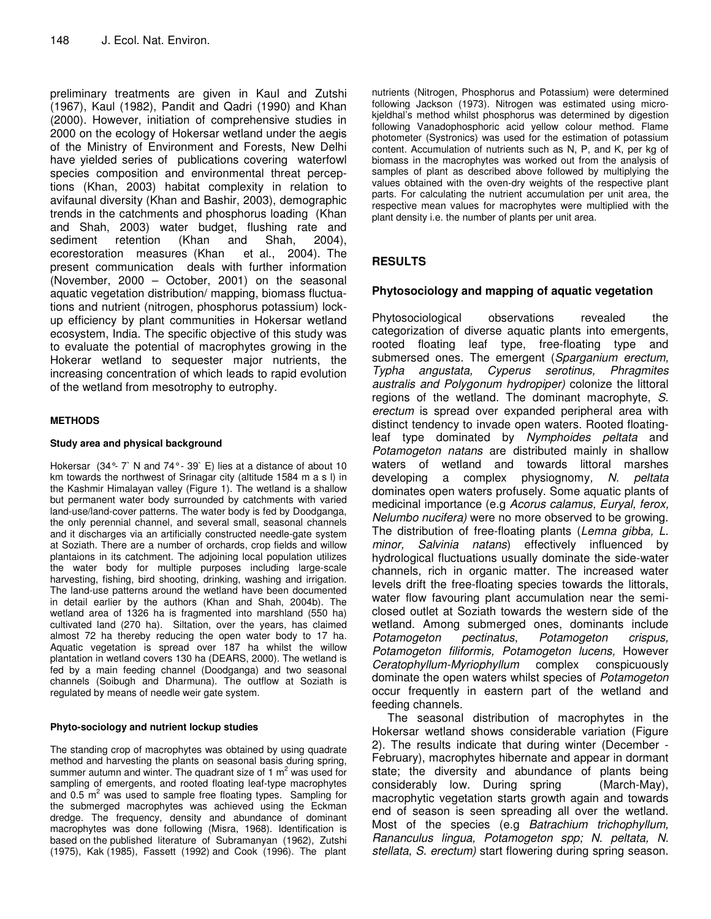preliminary treatments are given in Kaul and Zutshi (1967), Kaul (1982), Pandit and Qadri (1990) and Khan (2000). However, initiation of comprehensive studies in 2000 on the ecology of Hokersar wetland under the aegis of the Ministry of Environment and Forests, New Delhi have yielded series of publications covering waterfowl species composition and environmental threat perceptions (Khan, 2003) habitat complexity in relation to avifaunal diversity (Khan and Bashir, 2003), demographic trends in the catchments and phosphorus loading (Khan and Shah, 2003) water budget, flushing rate and sediment retention (Khan and Shah, 2004), ecorestoration measures (Khan et al., 2004). The present communication deals with further information (November, 2000 – October, 2001) on the seasonal aquatic vegetation distribution/ mapping, biomass fluctuations and nutrient (nitrogen, phosphorus potassium) lockup efficiency by plant communities in Hokersar wetland ecosystem, India. The specific objective of this study was to evaluate the potential of macrophytes growing in the Hokerar wetland to sequester major nutrients, the increasing concentration of which leads to rapid evolution of the wetland from mesotrophy to eutrophy.

#### **METHODS**

#### **Study area and physical background**

Hokersar (34°- 7` N and 74°- 39` E) lies at a distance of about 10 km towards the northwest of Srinagar city (altitude 1584 m a s l) in the Kashmir Himalayan valley (Figure 1). The wetland is a shallow but permanent water body surrounded by catchments with varied land-use/land-cover patterns. The water body is fed by Doodganga, the only perennial channel, and several small, seasonal channels and it discharges via an artificially constructed needle-gate system at Soziath. There are a number of orchards, crop fields and willow plantaions in its catchment. The adjoining local population utilizes the water body for multiple purposes including large-scale harvesting, fishing, bird shooting, drinking, washing and irrigation. The land-use patterns around the wetland have been documented in detail earlier by the authors (Khan and Shah, 2004b). The wetland area of 1326 ha is fragmented into marshland (550 ha) cultivated land (270 ha). Siltation, over the years, has claimed almost 72 ha thereby reducing the open water body to 17 ha. Aquatic vegetation is spread over 187 ha whilst the willow plantation in wetland covers 130 ha (DEARS, 2000). The wetland is fed by a main feeding channel (Doodganga) and two seasonal channels (Soibugh and Dharmuna). The outflow at Soziath is regulated by means of needle weir gate system.

#### **Phyto-sociology and nutrient lockup studies**

The standing crop of macrophytes was obtained by using quadrate method and harvesting the plants on seasonal basis during spring, summer autumn and winter. The quadrant size of 1  $m<sup>2</sup>$  was used for sampling of emergents, and rooted floating leaf-type macrophytes and  $0.5 \text{ m}^2$  was used to sample free floating types. Sampling for the submerged macrophytes was achieved using the Eckman dredge. The frequency, density and abundance of dominant macrophytes was done following (Misra, 1968). Identification is based on the published literature of Subramanyan (1962), Zutshi (1975), Kak (1985), Fassett (1992) and Cook (1996). The plant

nutrients (Nitrogen, Phosphorus and Potassium) were determined following Jackson (1973). Nitrogen was estimated using microkjeldhal's method whilst phosphorus was determined by digestion following Vanadophosphoric acid yellow colour method. Flame photometer (Systronics) was used for the estimation of potassium content. Accumulation of nutrients such as N, P, and K, per kg of biomass in the macrophytes was worked out from the analysis of samples of plant as described above followed by multiplying the values obtained with the oven-dry weights of the respective plant parts. For calculating the nutrient accumulation per unit area, the respective mean values for macrophytes were multiplied with the plant density i.e. the number of plants per unit area.

# **RESULTS**

## **Phytosociology and mapping of aquatic vegetation**

Phytosociological observations revealed the categorization of diverse aquatic plants into emergents, rooted floating leaf type, free-floating type and submersed ones. The emergent (Sparganium erectum, Typha angustata, Cyperus serotinus, Phragmites australis and Polygonum hydropiper) colonize the littoral regions of the wetland. The dominant macrophyte, S. erectum is spread over expanded peripheral area with distinct tendency to invade open waters. Rooted floatingleaf type dominated by Nymphoides peltata and Potamogeton natans are distributed mainly in shallow waters of wetland and towards littoral marshes developing a complex physiognomy, N. peltata dominates open waters profusely. Some aquatic plants of medicinal importance (e.g Acorus calamus, Euryal, ferox, Nelumbo nucifera) were no more observed to be growing. The distribution of free-floating plants (Lemna gibba, L. minor, Salvinia natans) effectively influenced by hydrological fluctuations usually dominate the side-water channels, rich in organic matter. The increased water levels drift the free-floating species towards the littorals, water flow favouring plant accumulation near the semiclosed outlet at Soziath towards the western side of the wetland. Among submerged ones, dominants include<br>Potamogeton pectinatus, Potamogeton crispus, Potamogeton pectinatus, Potamogeton crispus, Potamogeton filiformis, Potamogeton lucens, However Ceratophyllum-Myriophyllum complex conspicuously dominate the open waters whilst species of Potamogeton occur frequently in eastern part of the wetland and feeding channels.

The seasonal distribution of macrophytes in the Hokersar wetland shows considerable variation (Figure 2). The results indicate that during winter (December - February), macrophytes hibernate and appear in dormant state; the diversity and abundance of plants being considerably low. During spring (March-May), macrophytic vegetation starts growth again and towards end of season is seen spreading all over the wetland. Most of the species (e.g Batrachium trichophyllum, Rananculus lingua, Potamogeton spp; N. peltata, N. stellata, S. erectum) start flowering during spring season.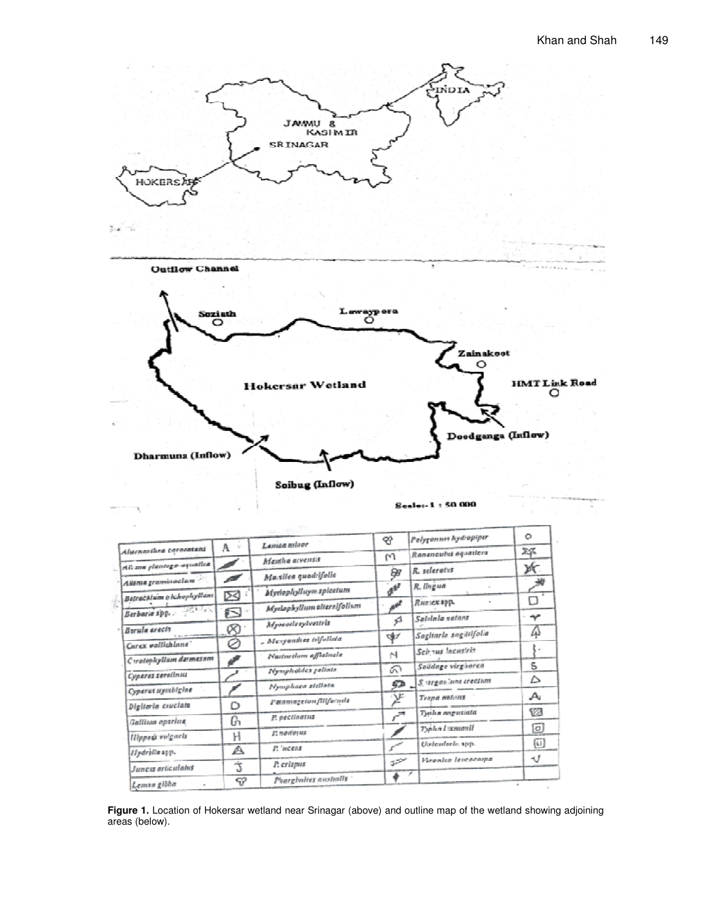

|                           |                                                                         | ₩                                                                                                                                                                                                                                                | Polyponum hydropiper           | O                                                                                                                                                                                                                                                                                  |
|---------------------------|-------------------------------------------------------------------------|--------------------------------------------------------------------------------------------------------------------------------------------------------------------------------------------------------------------------------------------------|--------------------------------|------------------------------------------------------------------------------------------------------------------------------------------------------------------------------------------------------------------------------------------------------------------------------------|
|                           |                                                                         | M                                                                                                                                                                                                                                                | Renessanhis equations          | Σ₫                                                                                                                                                                                                                                                                                 |
|                           |                                                                         | ÐР                                                                                                                                                                                                                                               | R. scleratus                   | ж                                                                                                                                                                                                                                                                                  |
|                           |                                                                         |                                                                                                                                                                                                                                                  |                                | 雏                                                                                                                                                                                                                                                                                  |
| Batračklum (richopleyllum |                                                                         |                                                                                                                                                                                                                                                  |                                | D                                                                                                                                                                                                                                                                                  |
| Q                         |                                                                         |                                                                                                                                                                                                                                                  |                                | $\mathcal{P}$                                                                                                                                                                                                                                                                      |
|                           |                                                                         |                                                                                                                                                                                                                                                  |                                | Д                                                                                                                                                                                                                                                                                  |
|                           | - Mesynadess tolfoliata                                                 |                                                                                                                                                                                                                                                  |                                |                                                                                                                                                                                                                                                                                    |
|                           | Nasturtism officinale                                                   | M                                                                                                                                                                                                                                                |                                |                                                                                                                                                                                                                                                                                    |
|                           |                                                                         | ெ                                                                                                                                                                                                                                                |                                | S                                                                                                                                                                                                                                                                                  |
|                           |                                                                         |                                                                                                                                                                                                                                                  | S argenlunt crectum            | Δ                                                                                                                                                                                                                                                                                  |
|                           |                                                                         |                                                                                                                                                                                                                                                  | <b>Trana</b> mateurs           | Au                                                                                                                                                                                                                                                                                 |
|                           |                                                                         |                                                                                                                                                                                                                                                  | Typha angustala                | V3                                                                                                                                                                                                                                                                                 |
|                           |                                                                         |                                                                                                                                                                                                                                                  |                                | [o]                                                                                                                                                                                                                                                                                |
|                           |                                                                         |                                                                                                                                                                                                                                                  |                                | ⑩                                                                                                                                                                                                                                                                                  |
|                           |                                                                         |                                                                                                                                                                                                                                                  |                                | ٩Ĵ                                                                                                                                                                                                                                                                                 |
| Ź                         | P. erleput                                                              |                                                                                                                                                                                                                                                  |                                |                                                                                                                                                                                                                                                                                    |
| -92                       | Pharghuites australis                                                   |                                                                                                                                                                                                                                                  |                                | m.                                                                                                                                                                                                                                                                                 |
| C tratophyllum dermesnm   | A.<br>$\mathcal{H}^*$<br>◢<br>$\boxtimes$<br>⊗<br>⊘<br>Õ<br>ዑ<br>Η<br>A | Laman minor<br>Mamha arvensis<br>Maxilea quadcifolia<br>Myriophylluym spicetum<br>Myslophyllum alternifolium<br>Myseodesylvestels<br>Nympholdes pelints<br>Nymphace stellata<br>Patamageton fillformia<br>P. peculantus<br>Е подотих<br>P. weens | $d^{p^r}$<br>₫<br>₩<br>52<br>严 | R. lingua<br><i>Runsex</i> прр.<br>Saldala satant<br>Sagitarle sagutifolia<br>Scients lacustris<br>Soildage virgitaren<br>$r^{\pi}$<br>Typha Lumanii<br>Uirleadarle spp.<br><b>Howarden Inventorpa</b><br>$\tilde{\omega}^{\tilde{\omega}^{\tilde{\omega}^{\tilde{\omega}}}}$<br>× |

Figure 1. Location of Hokersar wetland near Srinagar (above) and outline map of the wetland showing adjoining areas (below).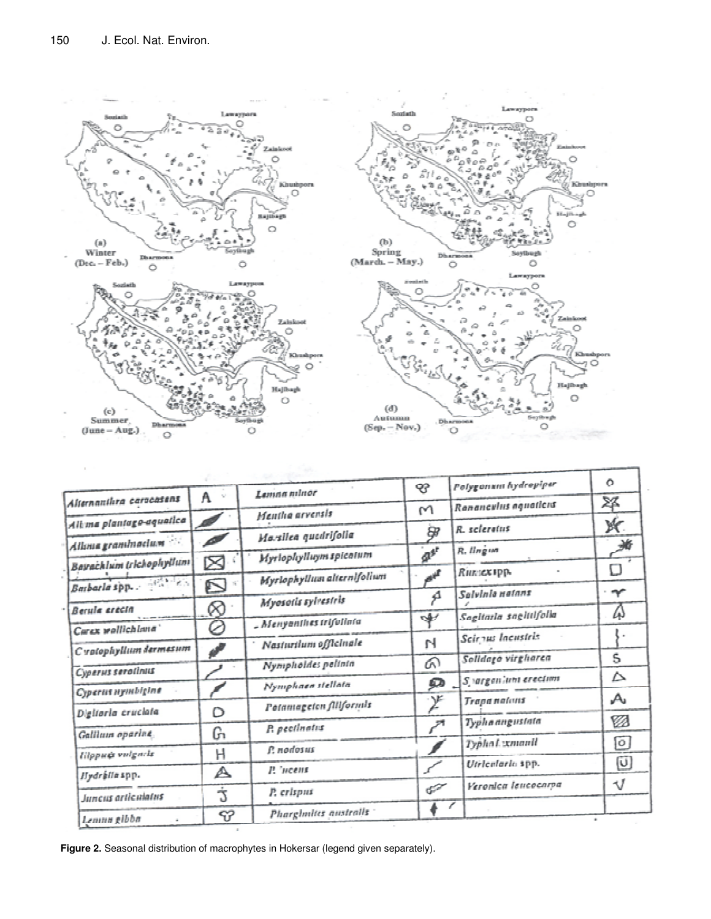

|                            | W.<br>A     | Lanina minor                             | 43                          | Polygonum hydropiper   | $\Omega$                  |
|----------------------------|-------------|------------------------------------------|-----------------------------|------------------------|---------------------------|
| Alternauthra caracasens    |             | Mentha arvensis                          | M                           | Rananculus aguaticus   | X                         |
| Alt ma plantago-aquatica   |             | Marsilea quedrifolia                     | 8,                          | R. scleratus           | ж                         |
| Aliona graminacium         |             | Myrlophylluym spicatum                   | $a^{a^r}$                   | R. Ilngwr              | 滫                         |
| Bayachlum trichophyllum    | ⊠           |                                          |                             | Runsex upp.            | П                         |
|                            | N           | <i><b>Myrlophyllum</b></i> alternifolium |                             | Salvinia natans        | $\boldsymbol{\gamma}$     |
| Berula erecta              | ⊗           | Myosotis sylvestels                      | ₫                           |                        |                           |
| Carex wollichlana'         | Ø           | - Menyanthes trifolinia                  | ৩∯৴                         | Sagitarla sagittifolia | ω                         |
| C votophyllum darmasum     |             | Nasturilum officinale                    | N                           | Seir nu laenstris      |                           |
| Cyperus serotinus          |             | Nympholdes pelinta                       | ନ                           | Solidaço virgharca     | S                         |
|                            |             | Nymphaea stellata                        | Ω                           | Syargan'um erection    | △                         |
| Cyperus nymbigine          |             | Potamageten filiformis                   | $\mathcal{L}$               | <b>Trapanalans</b>     | $\mathcal{A}_\mathsf{u}$  |
| Digitaria cruciata         | Ď           | P. pecilnatis                            | المتسم                      | Typha angustata        | Ø                         |
| Gallium oparine            | G.          |                                          |                             | Typha Lxmanil          | $\circ$                   |
| <b>Hippu&amp;</b> volgarls | н           | f: nodosus                               |                             | Utilenlarla spp.       | $\left[\mathsf{U}\right]$ |
| Hydrallaspp.               | A           | P. 'ncent                                |                             | Veronica leucocarpa    | -V                        |
| Juneus articulates         | Ċ           | P. crispus                               | $\mathcal{C}^{\mathcal{P}}$ | v                      |                           |
| Lemna gibba                | $\vartheta$ | Phargimitts australis                    |                             |                        |                           |

O

m

 $\circ$ 

Zainko

**Holly** 

ò. ing though

 $\circ$ 

Ö

Ó

80

**Khushpora** 

**Figure 2.** Seasonal distribution of macrophytes in Hokersar (legend given separately).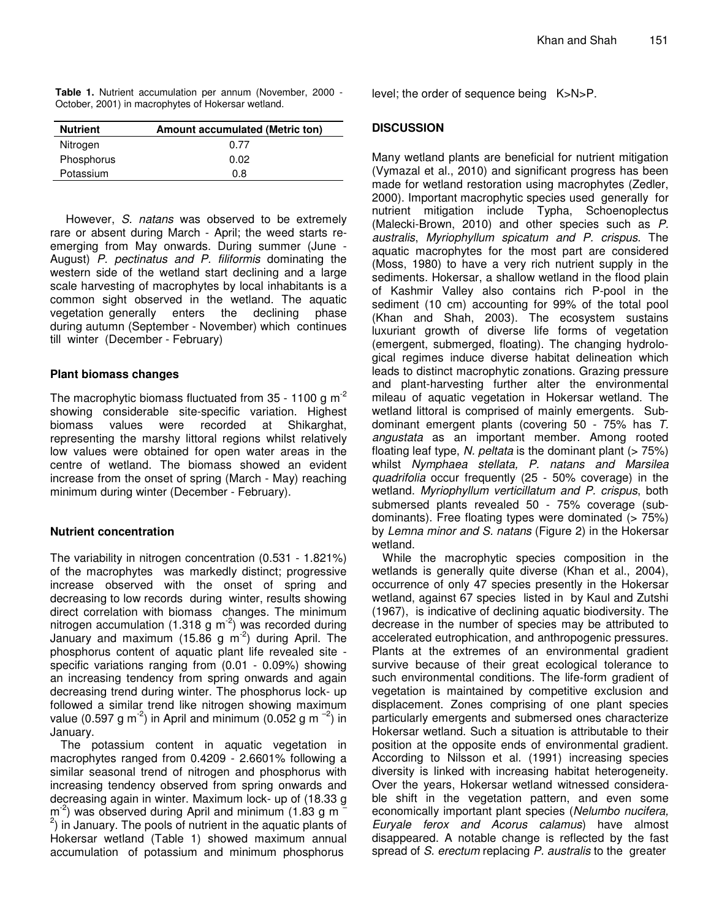|  | Table 1. Nutrient accumulation per annum (November, 2000 - |  |  |  |
|--|------------------------------------------------------------|--|--|--|
|  | October, 2001) in macrophytes of Hokersar wetland.         |  |  |  |

| <b>Nutrient</b> | Amount accumulated (Metric ton) |
|-----------------|---------------------------------|
| Nitrogen        | 0.77                            |
| Phosphorus      | 0.02                            |
| Potassium       | 0.8                             |

However, S. natans was observed to be extremely rare or absent during March - April; the weed starts reemerging from May onwards. During summer (June - August) P. pectinatus and P. filiformis dominating the western side of the wetland start declining and a large scale harvesting of macrophytes by local inhabitants is a common sight observed in the wetland. The aquatic vegetation generally enters the declining phase during autumn (September - November) which continues till winter (December - February)

#### **Plant biomass changes**

The macrophytic biomass fluctuated from  $35 - 1100$  g m<sup>-2</sup> showing considerable site-specific variation. Highest biomass values were recorded at Shikarghat, representing the marshy littoral regions whilst relatively low values were obtained for open water areas in the centre of wetland. The biomass showed an evident increase from the onset of spring (March - May) reaching minimum during winter (December - February).

#### **Nutrient concentration**

The variability in nitrogen concentration (0.531 - 1.821%) of the macrophytes was markedly distinct; progressive increase observed with the onset of spring and decreasing to low records during winter, results showing direct correlation with biomass changes. The minimum nitrogen accumulation (1.318 g  $m<sup>-2</sup>$ ) was recorded during January and maximum (15.86 g m<sup>-2</sup>) during April. The phosphorus content of aquatic plant life revealed site specific variations ranging from (0.01 - 0.09%) showing an increasing tendency from spring onwards and again decreasing trend during winter. The phosphorus lock- up followed a similar trend like nitrogen showing maximum value (0.597 g m<sup>-2</sup>) in April and minimum (0.052 g m<sup>-2</sup>) in January.

The potassium content in aquatic vegetation in macrophytes ranged from 0.4209 - 2.6601% following a similar seasonal trend of nitrogen and phosphorus with increasing tendency observed from spring onwards and decreasing again in winter. Maximum lock- up of (18.33 g  $\text{m}^2$ ) was observed during April and minimum (1.83 g m  $\overline{a}$  $^{2}$ ) in January. The pools of nutrient in the aquatic plants of Hokersar wetland (Table 1) showed maximum annual accumulation of potassium and minimum phosphorus

level; the order of sequence being K>N>P.

## **DISCUSSION**

Many wetland plants are beneficial for nutrient mitigation (Vymazal et al., 2010) and significant progress has been made for wetland restoration using macrophytes (Zedler, 2000). Important macrophytic species used generally for nutrient mitigation include Typha, Schoenoplectus (Malecki-Brown, 2010) and other species such as P. australis, Myriophyllum spicatum and P. crispus. The aquatic macrophytes for the most part are considered (Moss, 1980) to have a very rich nutrient supply in the sediments. Hokersar, a shallow wetland in the flood plain of Kashmir Valley also contains rich P-pool in the sediment (10 cm) accounting for 99% of the total pool (Khan and Shah, 2003). The ecosystem sustains luxuriant growth of diverse life forms of vegetation (emergent, submerged, floating). The changing hydrological regimes induce diverse habitat delineation which leads to distinct macrophytic zonations. Grazing pressure and plant-harvesting further alter the environmental mileau of aquatic vegetation in Hokersar wetland. The wetland littoral is comprised of mainly emergents. Subdominant emergent plants (covering 50 - 75% has T. angustata as an important member. Among rooted floating leaf type, N. peltata is the dominant plant  $($  > 75%) whilst Nymphaea stellata, P. natans and Marsilea quadrifolia occur frequently (25 - 50% coverage) in the wetland. Myriophyllum verticillatum and P. crispus, both submersed plants revealed 50 - 75% coverage (subdominants). Free floating types were dominated (> 75%) by Lemna minor and S. natans (Figure 2) in the Hokersar wetland.

While the macrophytic species composition in the wetlands is generally quite diverse (Khan et al., 2004), occurrence of only 47 species presently in the Hokersar wetland, against 67 species listed in by Kaul and Zutshi (1967), is indicative of declining aquatic biodiversity. The decrease in the number of species may be attributed to accelerated eutrophication, and anthropogenic pressures. Plants at the extremes of an environmental gradient survive because of their great ecological tolerance to such environmental conditions. The life-form gradient of vegetation is maintained by competitive exclusion and displacement. Zones comprising of one plant species particularly emergents and submersed ones characterize Hokersar wetland. Such a situation is attributable to their position at the opposite ends of environmental gradient. According to Nilsson et al. (1991) increasing species diversity is linked with increasing habitat heterogeneity. Over the years, Hokersar wetland witnessed considerable shift in the vegetation pattern, and even some economically important plant species (Nelumbo nucifera, Euryale ferox and Acorus calamus) have almost disappeared. A notable change is reflected by the fast spread of S. erectum replacing P. australis to the greater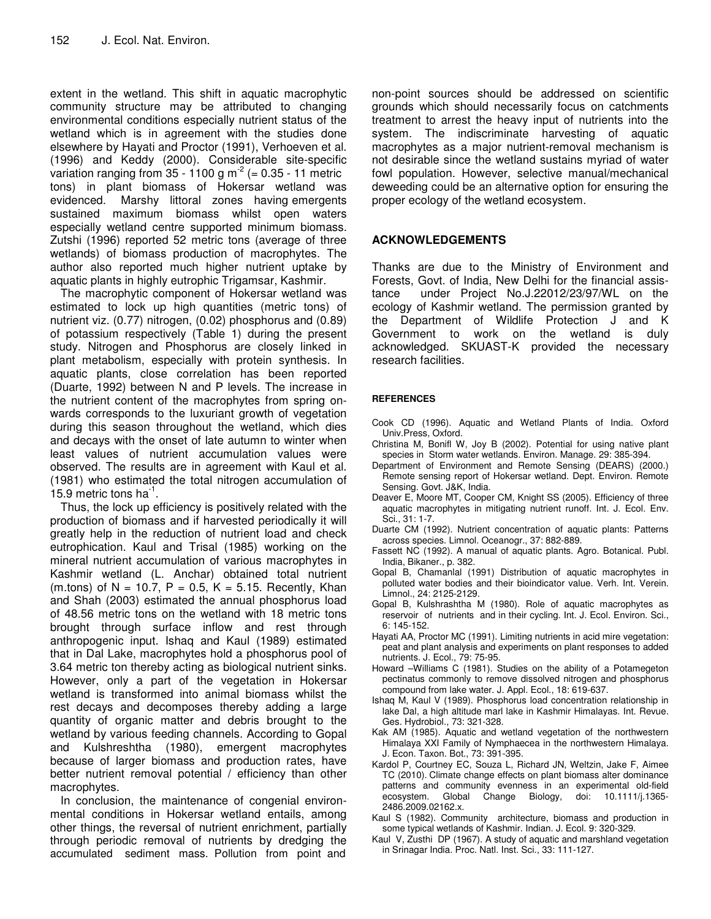extent in the wetland. This shift in aquatic macrophytic community structure may be attributed to changing environmental conditions especially nutrient status of the wetland which is in agreement with the studies done elsewhere by Hayati and Proctor (1991), Verhoeven et al. (1996) and Keddy (2000). Considerable site-specific variation ranging from  $35 - 1100$  g m<sup>-2</sup> (= 0.35 - 11 metric tons) in plant biomass of Hokersar wetland was evidenced. Marshy littoral zones having emergents sustained maximum biomass whilst open waters especially wetland centre supported minimum biomass. Zutshi (1996) reported 52 metric tons (average of three wetlands) of biomass production of macrophytes. The author also reported much higher nutrient uptake by aquatic plants in highly eutrophic Trigamsar, Kashmir.

The macrophytic component of Hokersar wetland was estimated to lock up high quantities (metric tons) of nutrient viz. (0.77) nitrogen, (0.02) phosphorus and (0.89) of potassium respectively (Table 1) during the present study. Nitrogen and Phosphorus are closely linked in plant metabolism, especially with protein synthesis. In aquatic plants, close correlation has been reported (Duarte, 1992) between N and P levels. The increase in the nutrient content of the macrophytes from spring onwards corresponds to the luxuriant growth of vegetation during this season throughout the wetland, which dies and decays with the onset of late autumn to winter when least values of nutrient accumulation values were observed. The results are in agreement with Kaul et al. (1981) who estimated the total nitrogen accumulation of 15.9 metric tons  $ha^{-1}$ .

Thus, the lock up efficiency is positively related with the production of biomass and if harvested periodically it will greatly help in the reduction of nutrient load and check eutrophication. Kaul and Trisal (1985) working on the mineral nutrient accumulation of various macrophytes in Kashmir wetland (L. Anchar) obtained total nutrient (m.tons) of N =  $10.\overline{7}$ , P = 0.5, K = 5.15. Recently, Khan and Shah (2003) estimated the annual phosphorus load of 48.56 metric tons on the wetland with 18 metric tons brought through surface inflow and rest through anthropogenic input. Ishaq and Kaul (1989) estimated that in Dal Lake, macrophytes hold a phosphorus pool of 3.64 metric ton thereby acting as biological nutrient sinks. However, only a part of the vegetation in Hokersar wetland is transformed into animal biomass whilst the rest decays and decomposes thereby adding a large quantity of organic matter and debris brought to the wetland by various feeding channels. According to Gopal and Kulshreshtha (1980), emergent macrophytes because of larger biomass and production rates, have better nutrient removal potential / efficiency than other macrophytes.

In conclusion, the maintenance of congenial environmental conditions in Hokersar wetland entails, among other things, the reversal of nutrient enrichment, partially through periodic removal of nutrients by dredging the accumulated sediment mass. Pollution from point and

non-point sources should be addressed on scientific grounds which should necessarily focus on catchments treatment to arrest the heavy input of nutrients into the system. The indiscriminate harvesting of aquatic macrophytes as a major nutrient-removal mechanism is not desirable since the wetland sustains myriad of water fowl population. However, selective manual/mechanical deweeding could be an alternative option for ensuring the proper ecology of the wetland ecosystem.

## **ACKNOWLEDGEMENTS**

Thanks are due to the Ministry of Environment and Forests, Govt. of India, New Delhi for the financial assistance under Project No.J.22012/23/97/WL on the ecology of Kashmir wetland. The permission granted by the Department of Wildlife Protection J and K Government to work on the wetland is duly acknowledged. SKUAST-K provided the necessary research facilities.

#### **REFERENCES**

- Cook CD (1996). Aquatic and Wetland Plants of India. Oxford Univ.Press, Oxford.
- Christina M, Bonifl W, Joy B (2002). Potential for using native plant species in Storm water wetlands. Environ. Manage. 29: 385-394.
- Department of Environment and Remote Sensing (DEARS) (2000.) Remote sensing report of Hokersar wetland. Dept. Environ. Remote Sensing. Govt. J&K, India.
- Deaver E, Moore MT, Cooper CM, Knight SS (2005). Efficiency of three aquatic macrophytes in mitigating nutrient runoff. Int. J. Ecol. Env. Sci., 31: 1-7.
- Duarte CM (1992). Nutrient concentration of aquatic plants: Patterns across species. Limnol. Oceanogr., 37: 882-889.
- Fassett NC (1992). A manual of aquatic plants. Agro. Botanical. Publ. India, Bikaner., p. 382.
- Gopal B, Chamanlal (1991) Distribution of aquatic macrophytes in polluted water bodies and their bioindicator value. Verh. Int. Verein. Limnol., 24: 2125-2129.
- Gopal B, Kulshrashtha M (1980). Role of aquatic macrophytes as reservoir of nutrients and in their cycling. Int. J. Ecol. Environ. Sci., 6: 145-152.
- Hayati AA, Proctor MC (1991). Limiting nutrients in acid mire vegetation: peat and plant analysis and experiments on plant responses to added nutrients. J. Ecol., 79: 75-95.
- Howard –Williams C (1981). Studies on the ability of a Potamegeton pectinatus commonly to remove dissolved nitrogen and phosphorus compound from lake water. J. Appl. Ecol., 18: 619-637.
- Ishaq M, Kaul V (1989). Phosphorus load concentration relationship in lake Dal, a high altitude marl lake in Kashmir Himalayas. Int. Revue. Ges. Hydrobiol., 73: 321-328.
- Kak AM (1985). Aquatic and wetland vegetation of the northwestern Himalaya XXI Family of Nymphaecea in the northwestern Himalaya. J. Econ. Taxon. Bot., 73: 391-395.
- Kardol P, Courtney EC, Souza L, Richard JN, Weltzin, Jake F, Aimee TC (2010). Climate change effects on plant biomass alter dominance patterns and community evenness in an experimental old-field ecosystem. Global Change Biology, doi: 10.1111/j.1365-Change Biology, doi: 10.1111/j.1365-2486.2009.02162.x.
- Kaul S (1982). Community architecture, biomass and production in some typical wetlands of Kashmir. Indian. J. Ecol. 9: 320-329.
- Kaul V, Zusthi DP (1967). A study of aquatic and marshland vegetation in Srinagar India. Proc. Natl. Inst. Sci., 33: 111-127.